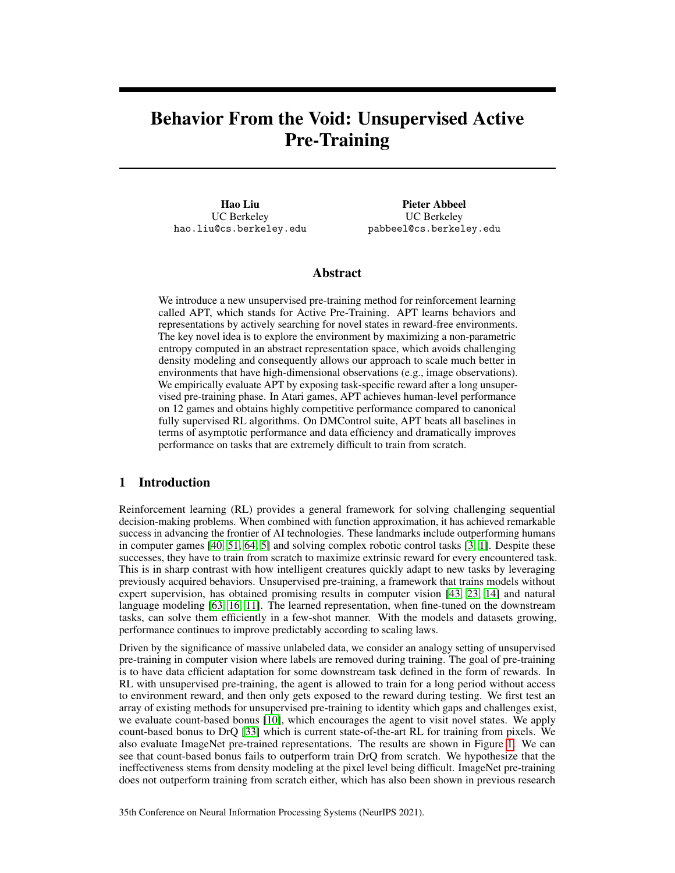# Behavior From the Void: Unsupervised Active Pre-Training

Hao Liu UC Berkeley hao.liu@cs.berkeley.edu

Pieter Abbeel UC Berkeley pabbeel@cs.berkeley.edu

# Abstract

We introduce a new unsupervised pre-training method for reinforcement learning called APT, which stands for Active Pre-Training. APT learns behaviors and representations by actively searching for novel states in reward-free environments. The key novel idea is to explore the environment by maximizing a non-parametric entropy computed in an abstract representation space, which avoids challenging density modeling and consequently allows our approach to scale much better in environments that have high-dimensional observations (e.g., image observations). We empirically evaluate APT by exposing task-specific reward after a long unsupervised pre-training phase. In Atari games, APT achieves human-level performance on 12 games and obtains highly competitive performance compared to canonical fully supervised RL algorithms. On DMControl suite, APT beats all baselines in terms of asymptotic performance and data efficiency and dramatically improves performance on tasks that are extremely difficult to train from scratch.

# 1 Introduction

Reinforcement learning (RL) provides a general framework for solving challenging sequential decision-making problems. When combined with function approximation, it has achieved remarkable success in advancing the frontier of AI technologies. These landmarks include outperforming humans in computer games [\[40,](#page-12-0) [51,](#page-13-0) [64,](#page-13-1) [5\]](#page-10-0) and solving complex robotic control tasks [\[3,](#page-10-1) [1\]](#page-9-0). Despite these successes, they have to train from scratch to maximize extrinsic reward for every encountered task. This is in sharp contrast with how intelligent creatures quickly adapt to new tasks by leveraging previously acquired behaviors. Unsupervised pre-training, a framework that trains models without expert supervision, has obtained promising results in computer vision [\[43,](#page-12-1) [23,](#page-11-0) [14\]](#page-10-2) and natural language modeling [\[63,](#page-13-2) [16,](#page-10-3) [11\]](#page-10-4). The learned representation, when fine-tuned on the downstream tasks, can solve them efficiently in a few-shot manner. With the models and datasets growing, performance continues to improve predictably according to scaling laws.

Driven by the significance of massive unlabeled data, we consider an analogy setting of unsupervised pre-training in computer vision where labels are removed during training. The goal of pre-training is to have data efficient adaptation for some downstream task defined in the form of rewards. In RL with unsupervised pre-training, the agent is allowed to train for a long period without access to environment reward, and then only gets exposed to the reward during testing. We first test an array of existing methods for unsupervised pre-training to identity which gaps and challenges exist, we evaluate count-based bonus [\[10\]](#page-10-5), which encourages the agent to visit novel states. We apply count-based bonus to DrQ [\[33\]](#page-12-2) which is current state-of-the-art RL for training from pixels. We also evaluate ImageNet pre-trained representations. The results are shown in Figure [1.](#page-1-0) We can see that count-based bonus fails to outperform train DrQ from scratch. We hypothesize that the ineffectiveness stems from density modeling at the pixel level being difficult. ImageNet pre-training does not outperform training from scratch either, which has also been shown in previous research

35th Conference on Neural Information Processing Systems (NeurIPS 2021).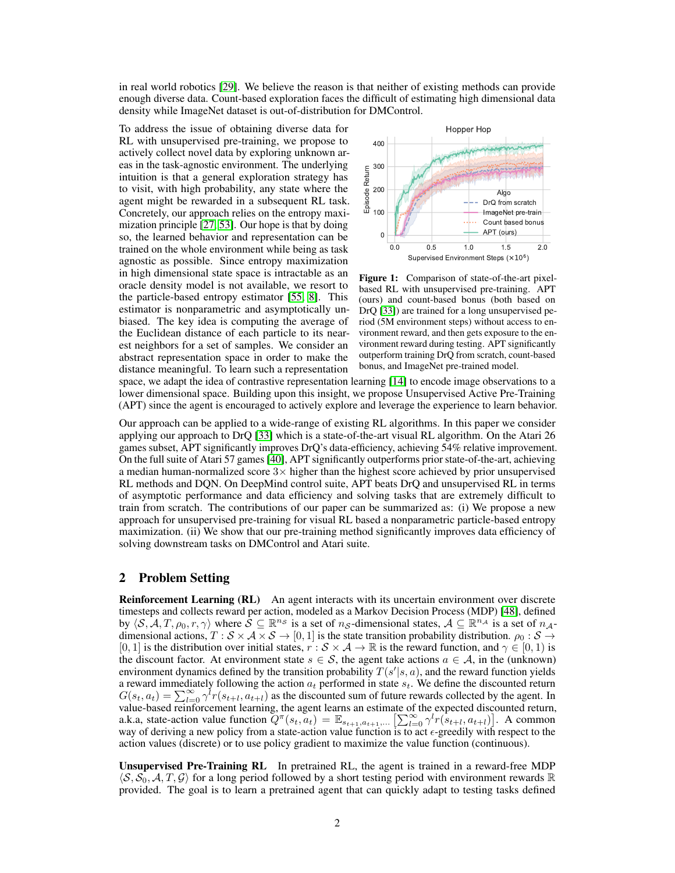in real world robotics [\[29\]](#page-11-1). We believe the reason is that neither of existing methods can provide enough diverse data. Count-based exploration faces the difficult of estimating high dimensional data density while ImageNet dataset is out-of-distribution for DMControl.

To address the issue of obtaining diverse data for RL with unsupervised pre-training, we propose to actively collect novel data by exploring unknown areas in the task-agnostic environment. The underlying intuition is that a general exploration strategy has to visit, with high probability, any state where the agent might be rewarded in a subsequent RL task. Concretely, our approach relies on the entropy maximization principle [\[27,](#page-11-2) [53\]](#page-13-3). Our hope is that by doing so, the learned behavior and representation can be trained on the whole environment while being as task agnostic as possible. Since entropy maximization in high dimensional state space is intractable as an oracle density model is not available, we resort to the particle-based entropy estimator [\[55,](#page-13-4) [8\]](#page-10-6). This estimator is nonparametric and asymptotically unbiased. The key idea is computing the average of the Euclidean distance of each particle to its nearest neighbors for a set of samples. We consider an abstract representation space in order to make the distance meaningful. To learn such a representation

<span id="page-1-0"></span>

Figure 1: Comparison of state-of-the-art pixelbased RL with unsupervised pre-training. APT (ours) and count-based bonus (both based on DrQ [\[33\]](#page-12-2)) are trained for a long unsupervised period (5M environment steps) without access to environment reward, and then gets exposure to the environment reward during testing. APT significantly outperform training DrQ from scratch, count-based bonus, and ImageNet pre-trained model.

space, we adapt the idea of contrastive representation learning [\[14\]](#page-10-2) to encode image observations to a lower dimensional space. Building upon this insight, we propose Unsupervised Active Pre-Training (APT) since the agent is encouraged to actively explore and leverage the experience to learn behavior.

Our approach can be applied to a wide-range of existing RL algorithms. In this paper we consider applying our approach to DrQ [\[33\]](#page-12-2) which is a state-of-the-art visual RL algorithm. On the Atari 26 games subset, APT significantly improves DrQ's data-efficiency, achieving 54% relative improvement. On the full suite of Atari 57 games [\[40\]](#page-12-0), APT significantly outperforms prior state-of-the-art, achieving a median human-normalized score  $3\times$  higher than the highest score achieved by prior unsupervised RL methods and DQN. On DeepMind control suite, APT beats DrQ and unsupervised RL in terms of asymptotic performance and data efficiency and solving tasks that are extremely difficult to train from scratch. The contributions of our paper can be summarized as: (i) We propose a new approach for unsupervised pre-training for visual RL based a nonparametric particle-based entropy maximization. (ii) We show that our pre-training method significantly improves data efficiency of solving downstream tasks on DMControl and Atari suite.

## 2 Problem Setting

Reinforcement Learning (RL) An agent interacts with its uncertain environment over discrete timesteps and collects reward per action, modeled as a Markov Decision Process (MDP) [\[48\]](#page-12-3), defined by  $\langle S, \mathcal{A}, T, \rho_0, r, \gamma \rangle$  where  $\mathcal{S} \subseteq \mathbb{R}^{n_{\mathcal{S}}}$  is a set of  $n_{\mathcal{S}}$ -dimensional states,  $\mathcal{A} \subseteq \mathbb{R}^{n_{\mathcal{A}}}$  is a set of  $n_{\mathcal{A}}$ dimensional actions,  $T : S \times A \times S \to [0, 1]$  is the state transition probability distribution.  $\rho_0 : S \to$ [0, 1] is the distribution over initial states,  $r : \mathcal{S} \times \mathcal{A} \to \mathbb{R}$  is the reward function, and  $\gamma \in [0, 1)$  is the discount factor. At environment state  $s \in S$ , the agent take actions  $a \in A$ , in the (unknown) environment dynamics defined by the transition probability  $T(s'|s, a)$ , and the reward function yields a reward immediately following the action  $a_t$  performed in state  $s_t$ . We define the discounted return  $G(s_t, a_t) = \sum_{l=0}^{\infty} \gamma^l r(s_{t+l}, a_{t+l})$  as the discounted sum of future rewards collected by the agent. In value-based reinforcement learning, the agent learns an estimate of the expected discounted return, a.k.a, state-action value function  $Q^{\pi}(s_t, a_t) = \mathbb{E}_{s_{t+1}, a_{t+1}, \dots} \left[ \sum_{l=0}^{\infty} \gamma^l r(s_{t+l}, a_{t+l}) \right]$ . A common way of deriving a new policy from a state-action value function is to act  $\epsilon$ -greedily with respect to the action values (discrete) or to use policy gradient to maximize the value function (continuous).

Unsupervised Pre-Training RL In pretrained RL, the agent is trained in a reward-free MDP  $\langle S, S_0, A, T, \mathcal{G} \rangle$  for a long period followed by a short testing period with environment rewards R provided. The goal is to learn a pretrained agent that can quickly adapt to testing tasks defined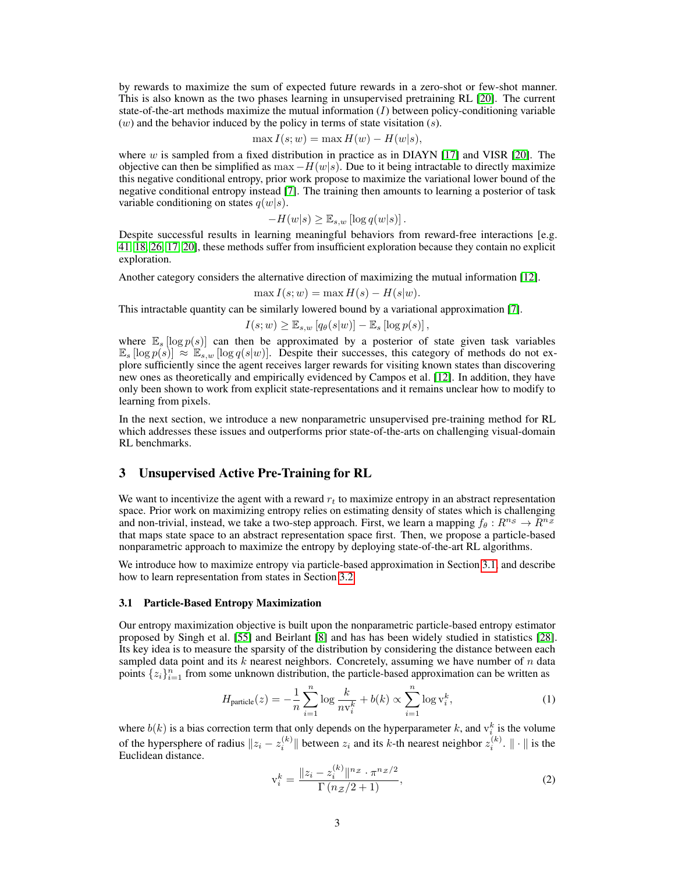by rewards to maximize the sum of expected future rewards in a zero-shot or few-shot manner. This is also known as the two phases learning in unsupervised pretraining RL [\[20\]](#page-11-3). The current state-of-the-art methods maximize the mutual information  $(I)$  between policy-conditioning variable  $(w)$  and the behavior induced by the policy in terms of state visitation  $(s)$ .

$$
\max I(s; w) = \max H(w) - H(w|s),
$$

where  $w$  is sampled from a fixed distribution in practice as in DIAYN [\[17\]](#page-11-4) and VISR [\[20\]](#page-11-3). The objective can then be simplified as  $\max -H(w|s)$ . Due to it being intractable to directly maximize this negative conditional entropy, prior work propose to maximize the variational lower bound of the negative conditional entropy instead [\[7\]](#page-10-7). The training then amounts to learning a posterior of task variable conditioning on states  $q(w|s)$ .

$$
-H(w|s) \geq \mathbb{E}_{s,w} [\log q(w|s)].
$$

Despite successful results in learning meaningful behaviors from reward-free interactions [e.g. [41,](#page-12-4) [18,](#page-11-5) [26,](#page-11-6) [17,](#page-11-4) [20\]](#page-11-3), these methods suffer from insufficient exploration because they contain no explicit exploration.

Another category considers the alternative direction of maximizing the mutual information [\[12\]](#page-10-8).

$$
\max I(s; w) = \max H(s) - H(s|w).
$$

This intractable quantity can be similarly lowered bound by a variational approximation [\[7\]](#page-10-7).

$$
I(s; w) \geq \mathbb{E}_{s,w} [q_{\theta}(s|w)] - \mathbb{E}_{s} [\log p(s)],
$$

where  $\mathbb{E}_s$  [log  $p(s)$ ] can then be approximated by a posterior of state given task variables  $\mathbb{E}_s$  [log  $p(s)$ ]  $\approx$   $\mathbb{E}_{s,w}$  [log  $q(s|w)$ ]. Despite their successes, this category of methods do not explore sufficiently since the agent receives larger rewards for visiting known states than discovering new ones as theoretically and empirically evidenced by Campos et al. [\[12\]](#page-10-8). In addition, they have only been shown to work from explicit state-representations and it remains unclear how to modify to learning from pixels.

In the next section, we introduce a new nonparametric unsupervised pre-training method for RL which addresses these issues and outperforms prior state-of-the-arts on challenging visual-domain RL benchmarks.

#### 3 Unsupervised Active Pre-Training for RL

We want to incentivize the agent with a reward  $r_t$  to maximize entropy in an abstract representation space. Prior work on maximizing entropy relies on estimating density of states which is challenging and non-trivial, instead, we take a two-step approach. First, we learn a mapping  $f_{\theta}: R^{n_{\mathcal{S}}} \to R^{n_{\mathcal{Z}}}$ that maps state space to an abstract representation space first. Then, we propose a particle-based nonparametric approach to maximize the entropy by deploying state-of-the-art RL algorithms.

We introduce how to maximize entropy via particle-based approximation in Section [3.1,](#page-2-0) and describe how to learn representation from states in Section [3.2](#page-3-0)

#### <span id="page-2-0"></span>3.1 Particle-Based Entropy Maximization

Our entropy maximization objective is built upon the nonparametric particle-based entropy estimator proposed by Singh et al. [\[55\]](#page-13-4) and Beirlant [\[8\]](#page-10-6) and has has been widely studied in statistics [\[28\]](#page-11-7). Its key idea is to measure the sparsity of the distribution by considering the distance between each sampled data point and its  $k$  nearest neighbors. Concretely, assuming we have number of  $n$  data points  $\{z_i\}_{i=1}^n$  from some unknown distribution, the particle-based approximation can be written as

$$
H_{\text{particle}}(z) = -\frac{1}{n} \sum_{i=1}^{n} \log \frac{k}{n v_i^k} + b(k) \propto \sum_{i=1}^{n} \log v_i^k,
$$
 (1)

where  $b(k)$  is a bias correction term that only depends on the hyperparameter k, and  $v_i^k$  is the volume of the hypersphere of radius  $||z_i - z_i^{(k)}||$  between  $z_i$  and its k-th nearest neighbor  $z_i^{(k)}$ .  $||\cdot||$  is the Euclidean distance.

<span id="page-2-2"></span><span id="page-2-1"></span>
$$
\mathbf{v}_i^k = \frac{\|z_i - z_i^{(k)}\|^n z \cdot \pi^{n_Z/2}}{\Gamma(n_Z/2 + 1)},\tag{2}
$$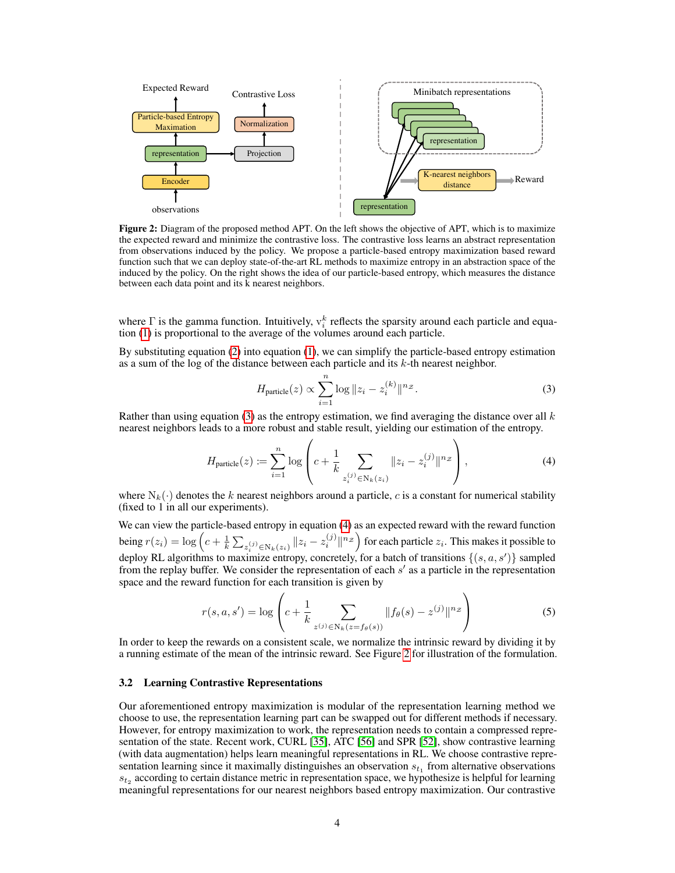<span id="page-3-3"></span>

Figure 2: Diagram of the proposed method APT. On the left shows the objective of APT, which is to maximize the expected reward and minimize the contrastive loss. The contrastive loss learns an abstract representation from observations induced by the policy. We propose a particle-based entropy maximization based reward function such that we can deploy state-of-the-art RL methods to maximize entropy in an abstraction space of the induced by the policy. On the right shows the idea of our particle-based entropy, which measures the distance between each data point and its k nearest neighbors.

where  $\Gamma$  is the gamma function. Intuitively,  $v_i^k$  reflects the sparsity around each particle and equation [\(1\)](#page-2-1) is proportional to the average of the volumes around each particle.

By substituting equation [\(2\)](#page-2-2) into equation [\(1\)](#page-2-1), we can simplify the particle-based entropy estimation as a sum of the log of the distance between each particle and its  $k$ -th nearest neighbor.

<span id="page-3-2"></span><span id="page-3-1"></span>
$$
H_{\text{particle}}(z) \propto \sum_{i=1}^{n} \log \|z_i - z_i^{(k)}\|^{n_Z}.
$$
 (3)

Rather than using equation [\(3\)](#page-3-1) as the entropy estimation, we find averaging the distance over all  $k$ nearest neighbors leads to a more robust and stable result, yielding our estimation of the entropy.

$$
H_{\text{particle}}(z) := \sum_{i=1}^{n} \log \left( c + \frac{1}{k} \sum_{z_i^{(j)} \in \mathcal{N}_k(z_i)} \|z_i - z_i^{(j)}\|^{n_{\mathcal{Z}}}\right),\tag{4}
$$

where  $N_k(\cdot)$  denotes the k nearest neighbors around a particle, c is a constant for numerical stability (fixed to 1 in all our experiments).

We can view the particle-based entropy in equation [\(4\)](#page-3-2) as an expected reward with the reward function being  $r(z_i) = \log\left(c + \frac{1}{k}\sum_{z_i^{(j)} \in N_k(z_i)} ||z_i - z_i^{(j)}||^{n_{\mathcal{Z}}}\right)$  for each particle  $z_i$ . This makes it possible to deploy RL algorithms to maximize entropy, concretely, for a batch of transitions  $\{(s, a, s')\}$  sampled from the replay buffer. We consider the representation of each s' as a particle in the representation space and the reward function for each transition is given by

<span id="page-3-4"></span>
$$
r(s, a, s') = \log \left( c + \frac{1}{k} \sum_{z^{(j)} \in N_k(z = f_\theta(s))} \| f_\theta(s) - z^{(j)} \|^n z \right)
$$
 (5)

In order to keep the rewards on a consistent scale, we normalize the intrinsic reward by dividing it by a running estimate of the mean of the intrinsic reward. See Figure [2](#page-3-3) for illustration of the formulation.

#### <span id="page-3-0"></span>3.2 Learning Contrastive Representations

Our aforementioned entropy maximization is modular of the representation learning method we choose to use, the representation learning part can be swapped out for different methods if necessary. However, for entropy maximization to work, the representation needs to contain a compressed representation of the state. Recent work, CURL [\[35\]](#page-12-5), ATC [\[56\]](#page-13-5) and SPR [\[52\]](#page-13-6), show contrastive learning (with data augmentation) helps learn meaningful representations in RL. We choose contrastive representation learning since it maximally distinguishes an observation  $s_{t_1}$  from alternative observations  $s_{t_2}$  according to certain distance metric in representation space, we hypothesize is helpful for learning meaningful representations for our nearest neighbors based entropy maximization. Our contrastive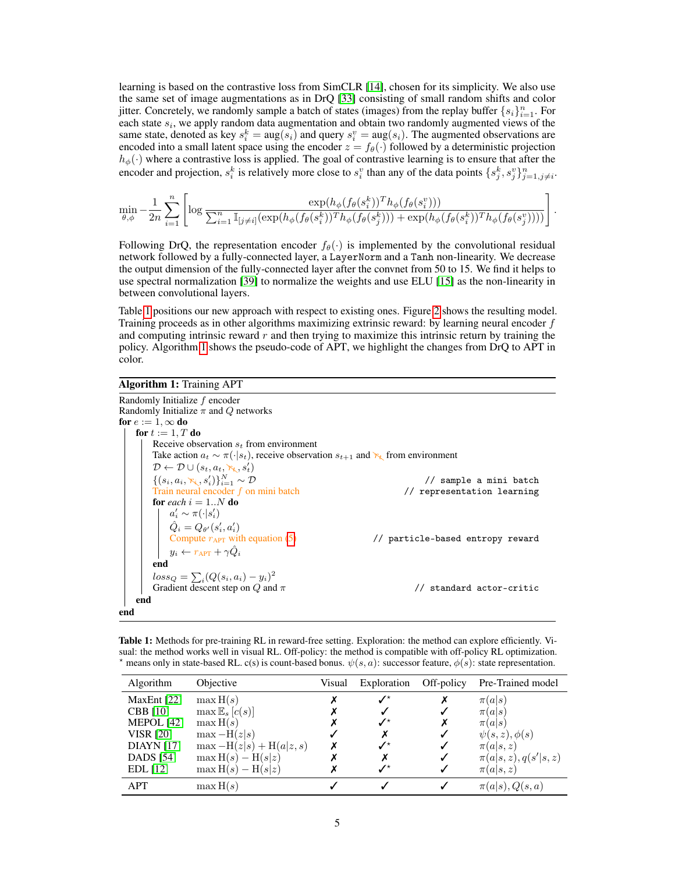learning is based on the contrastive loss from SimCLR [\[14\]](#page-10-2), chosen for its simplicity. We also use the same set of image augmentations as in DrQ [\[33\]](#page-12-2) consisting of small random shifts and color jitter. Concretely, we randomly sample a batch of states (images) from the replay buffer  $\{s_i\}_{i=1}^n$ . For each state  $s_i$ , we apply random data augmentation and obtain two randomly augmented views of the same state, denoted as key  $s_i^k = \arg(s_i)$  and query  $s_i^v = \arg(s_i)$ . The augmented observations are encoded into a small latent space using the encoder  $z = f_{\theta}(\cdot)$  followed by a deterministic projection  $h_{\phi}(\cdot)$  where a contrastive loss is applied. The goal of contrastive learning is to ensure that after the encoder and projection,  $s_i^k$  is relatively more close to  $s_i^v$  than any of the data points  $\{s_j^k, s_j^v\}_{j=1,j\neq i}^n$ .

$$
\min_{\theta,\phi} -\frac{1}{2n} \sum_{i=1}^n \left[ \log \frac{\exp(h_{\phi}(f_{\theta}(s_i^k))^T h_{\phi}(f_{\theta}(s_i^v)))}{\sum_{i=1}^n \mathbb{I}_{[j \neq i]} (\exp(h_{\phi}(f_{\theta}(s_i^k))^T h_{\phi}(f_{\theta}(s_j^k))) + \exp(h_{\phi}(f_{\theta}(s_i^k))^T h_{\phi}(f_{\theta}(s_j^v))))} \right].
$$

Following DrQ, the representation encoder  $f_{\theta}(\cdot)$  is implemented by the convolutional residual network followed by a fully-connected layer, a LayerNorm and a Tanh non-linearity. We decrease the output dimension of the fully-connected layer after the convnet from 50 to 15. We find it helps to use spectral normalization [\[39\]](#page-12-6) to normalize the weights and use ELU [\[15\]](#page-10-9) as the non-linearity in between convolutional layers.

Table [1](#page-4-0) positions our new approach with respect to existing ones. Figure [2](#page-3-3) shows the resulting model. Training proceeds as in other algorithms maximizing extrinsic reward: by learning neural encoder  $f$ and computing intrinsic reward  $r$  and then trying to maximize this intrinsic return by training the policy. Algorithm [1](#page-4-1) shows the pseudo-code of APT, we highlight the changes from DrQ to APT in color.

# Algorithm 1: Training APT

<span id="page-4-1"></span>

| Randomly Initialize f encoder                                                                         |                                  |
|-------------------------------------------------------------------------------------------------------|----------------------------------|
| Randomly Initialize $\pi$ and Q networks                                                              |                                  |
| for $e:=1,\infty$ do                                                                                  |                                  |
| for $t := 1, T$ do                                                                                    |                                  |
| Receive observation $s_t$ from environment                                                            |                                  |
| Take action $a_t \sim \pi(\cdot s_t)$ , receive observation $s_{t+1}$ and $\kappa_t$ from environment |                                  |
| $\mathcal{D} \leftarrow \mathcal{D} \cup (s_t, a_t, \kappa_t, s'_t)$                                  |                                  |
| $\{(s_i, a_i, \kappa_i, s'_i)\}_{i=1}^N \sim \mathcal{D}$                                             | // sample a mini batch           |
| Train neural encoder f on mini batch                                                                  | // representation learning       |
| for each $i = 1N$ do                                                                                  |                                  |
| $a'_i \sim \pi(\cdot s'_i)$                                                                           |                                  |
| $\hat{Q}_i = Q_{\theta'}(s'_i, a'_i)$                                                                 |                                  |
| Compute $r_{\text{APT}}$ with equation (5)                                                            | // particle-based entropy reward |
| $y_i \leftarrow r_{\text{APT}} + \gamma \hat{Q}_i$                                                    |                                  |
| end                                                                                                   |                                  |
| $loss_Q = \sum_i (Q(s_i, a_i) - y_i)^2$                                                               |                                  |
| Gradient descent step on $Q$ and $\pi$                                                                | standard actor-critic            |
| end                                                                                                   |                                  |
| end                                                                                                   |                                  |

<span id="page-4-0"></span>Table 1: Methods for pre-training RL in reward-free setting. Exploration: the method can explore efficiently. Visual: the method works well in visual RL. Off-policy: the method is compatible with off-policy RL optimization.  $\star$  means only in state-based RL. c(s) is count-based bonus.  $\psi(s, a)$ : successor feature,  $\phi(s)$ : state representation.

| Algorithm         | Objective                 | Visual | Exploration              | Off-policy | Pre-Trained model       |
|-------------------|---------------------------|--------|--------------------------|------------|-------------------------|
| MaxEnt $[22]$     | $\max H(s)$               |        | $\boldsymbol{J}^{\star}$ | Х          | $\pi(a s)$              |
| <b>CBB</b> [10]   | $\max \mathbb{E}_s[c(s)]$ |        |                          |            | $\pi(a s)$              |
| MEPOL [42]        | $\max H(s)$               |        | ✔                        | х          | $\pi(a s)$              |
| <b>VISR [20]</b>  | $\max-\mathrm{H}(z s)$    |        | Х                        | √          | $\psi(s,z), \phi(s)$    |
| <b>DIAYN</b> [17] | $\max -H(z s) + H(a z,s)$ |        | $\mathcal{N}^{\star}$    |            | $\pi(a s,z)$            |
| <b>DADS</b> [54]  | $\max H(s) - H(s z)$      |        | Х                        | ✓          | $\pi(a s,z), q(s' s,z)$ |
| EDL[12]           | $\max H(s) - H(s z)$      |        | .∕*                      |            | $\pi(a s,z)$            |
| <b>APT</b>        | $\max H(s)$               |        |                          |            | $\pi(a s), Q(s,a)$      |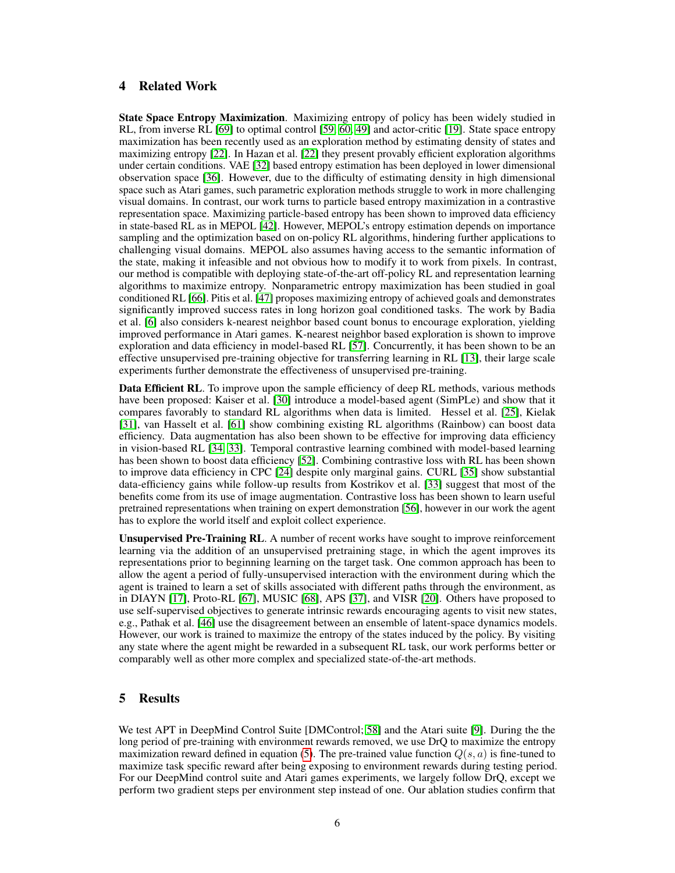# 4 Related Work

State Space Entropy Maximization. Maximizing entropy of policy has been widely studied in RL, from inverse RL [\[69\]](#page-14-0) to optimal control [\[59,](#page-13-8) [60,](#page-13-9) [49\]](#page-12-8) and actor-critic [\[19\]](#page-11-9). State space entropy maximization has been recently used as an exploration method by estimating density of states and maximizing entropy [\[22\]](#page-11-8). In Hazan et al. [\[22\]](#page-11-8) they present provably efficient exploration algorithms under certain conditions. VAE [\[32\]](#page-11-10) based entropy estimation has been deployed in lower dimensional observation space [\[36\]](#page-12-9). However, due to the difficulty of estimating density in high dimensional space such as Atari games, such parametric exploration methods struggle to work in more challenging visual domains. In contrast, our work turns to particle based entropy maximization in a contrastive representation space. Maximizing particle-based entropy has been shown to improved data efficiency in state-based RL as in MEPOL [\[42\]](#page-12-7). However, MEPOL's entropy estimation depends on importance sampling and the optimization based on on-policy RL algorithms, hindering further applications to challenging visual domains. MEPOL also assumes having access to the semantic information of the state, making it infeasible and not obvious how to modify it to work from pixels. In contrast, our method is compatible with deploying state-of-the-art off-policy RL and representation learning algorithms to maximize entropy. Nonparametric entropy maximization has been studied in goal conditioned RL [\[66\]](#page-13-10). Pitis et al. [\[47\]](#page-12-10) proposes maximizing entropy of achieved goals and demonstrates significantly improved success rates in long horizon goal conditioned tasks. The work by Badia et al. [\[6\]](#page-10-10) also considers k-nearest neighbor based count bonus to encourage exploration, yielding improved performance in Atari games. K-nearest neighbor based exploration is shown to improve exploration and data efficiency in model-based RL [\[57\]](#page-13-11). Concurrently, it has been shown to be an effective unsupervised pre-training objective for transferring learning in RL [\[13\]](#page-10-11), their large scale experiments further demonstrate the effectiveness of unsupervised pre-training.

Data Efficient RL. To improve upon the sample efficiency of deep RL methods, various methods have been proposed: Kaiser et al. [\[30\]](#page-11-11) introduce a model-based agent (SimPLe) and show that it compares favorably to standard RL algorithms when data is limited. Hessel et al. [\[25\]](#page-11-12), Kielak [\[31\]](#page-11-13), van Hasselt et al. [\[61\]](#page-13-12) show combining existing RL algorithms (Rainbow) can boost data efficiency. Data augmentation has also been shown to be effective for improving data efficiency in vision-based RL [\[34,](#page-12-11) [33\]](#page-12-2). Temporal contrastive learning combined with model-based learning has been shown to boost data efficiency [\[52\]](#page-13-6). Combining contrastive loss with RL has been shown to improve data efficiency in CPC [\[24\]](#page-11-14) despite only marginal gains. CURL [\[35\]](#page-12-5) show substantial data-efficiency gains while follow-up results from Kostrikov et al. [\[33\]](#page-12-2) suggest that most of the benefits come from its use of image augmentation. Contrastive loss has been shown to learn useful pretrained representations when training on expert demonstration [\[56\]](#page-13-5), however in our work the agent has to explore the world itself and exploit collect experience.

Unsupervised Pre-Training RL. A number of recent works have sought to improve reinforcement learning via the addition of an unsupervised pretraining stage, in which the agent improves its representations prior to beginning learning on the target task. One common approach has been to allow the agent a period of fully-unsupervised interaction with the environment during which the agent is trained to learn a set of skills associated with different paths through the environment, as in DIAYN [\[17\]](#page-11-4), Proto-RL [\[67\]](#page-13-13), MUSIC [\[68\]](#page-14-1), APS [\[37\]](#page-12-12), and VISR [\[20\]](#page-11-3). Others have proposed to use self-supervised objectives to generate intrinsic rewards encouraging agents to visit new states, e.g., Pathak et al. [\[46\]](#page-12-13) use the disagreement between an ensemble of latent-space dynamics models. However, our work is trained to maximize the entropy of the states induced by the policy. By visiting any state where the agent might be rewarded in a subsequent RL task, our work performs better or comparably well as other more complex and specialized state-of-the-art methods.

## 5 Results

We test APT in DeepMind Control Suite [DMControl; [58\]](#page-13-14) and the Atari suite [\[9\]](#page-10-12). During the the long period of pre-training with environment rewards removed, we use DrQ to maximize the entropy maximization reward defined in equation [\(5\)](#page-3-4). The pre-trained value function  $Q(s, a)$  is fine-tuned to maximize task specific reward after being exposing to environment rewards during testing period. For our DeepMind control suite and Atari games experiments, we largely follow DrQ, except we perform two gradient steps per environment step instead of one. Our ablation studies confirm that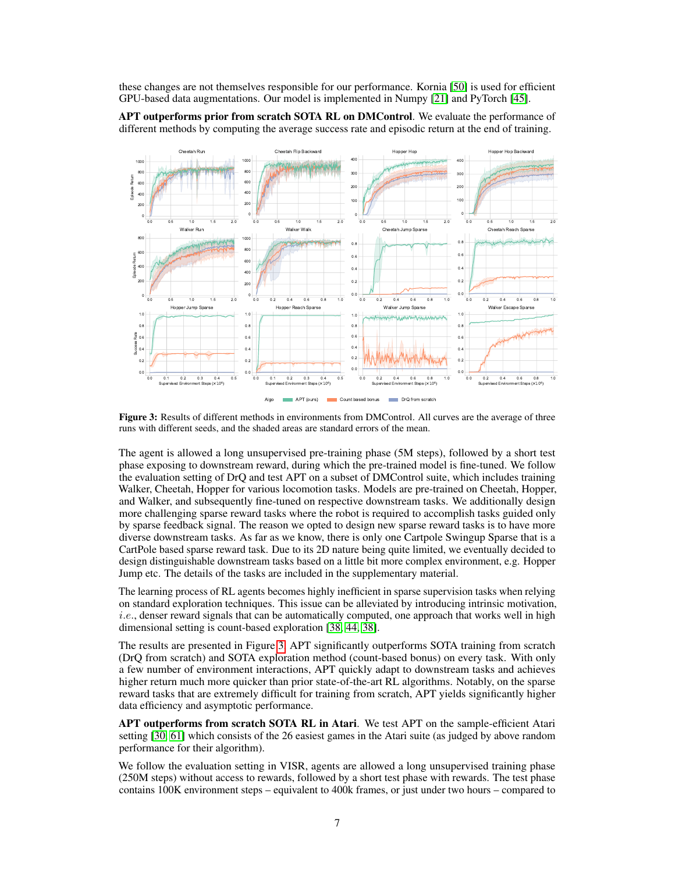these changes are not themselves responsible for our performance. Kornia [\[50\]](#page-13-15) is used for efficient GPU-based data augmentations. Our model is implemented in Numpy [\[21\]](#page-11-15) and PyTorch [\[45\]](#page-12-14).



<span id="page-6-0"></span>

Figure 3: Results of different methods in environments from DMControl. All curves are the average of three runs with different seeds, and the shaded areas are standard errors of the mean.

The agent is allowed a long unsupervised pre-training phase (5M steps), followed by a short test phase exposing to downstream reward, during which the pre-trained model is fine-tuned. We follow the evaluation setting of DrQ and test APT on a subset of DMControl suite, which includes training Walker, Cheetah, Hopper for various locomotion tasks. Models are pre-trained on Cheetah, Hopper, and Walker, and subsequently fine-tuned on respective downstream tasks. We additionally design more challenging sparse reward tasks where the robot is required to accomplish tasks guided only by sparse feedback signal. The reason we opted to design new sparse reward tasks is to have more diverse downstream tasks. As far as we know, there is only one Cartpole Swingup Sparse that is a CartPole based sparse reward task. Due to its 2D nature being quite limited, we eventually decided to design distinguishable downstream tasks based on a little bit more complex environment, e.g. Hopper Jump etc. The details of the tasks are included in the supplementary material.

The learning process of RL agents becomes highly inefficient in sparse supervision tasks when relying on standard exploration techniques. This issue can be alleviated by introducing intrinsic motivation,  $i.e.,$  denser reward signals that can be automatically computed, one approach that works well in high dimensional setting is count-based exploration [\[38,](#page-12-15) [44,](#page-12-16) [38\]](#page-12-15).

The results are presented in Figure [3,](#page-6-0) APT significantly outperforms SOTA training from scratch (DrQ from scratch) and SOTA exploration method (count-based bonus) on every task. With only a few number of environment interactions, APT quickly adapt to downstream tasks and achieves higher return much more quicker than prior state-of-the-art RL algorithms. Notably, on the sparse reward tasks that are extremely difficult for training from scratch, APT yields significantly higher data efficiency and asymptotic performance.

APT outperforms from scratch SOTA RL in Atari. We test APT on the sample-efficient Atari setting [\[30,](#page-11-11) [61\]](#page-13-12) which consists of the 26 easiest games in the Atari suite (as judged by above random performance for their algorithm).

We follow the evaluation setting in VISR, agents are allowed a long unsupervised training phase (250M steps) without access to rewards, followed by a short test phase with rewards. The test phase contains 100K environment steps – equivalent to 400k frames, or just under two hours – compared to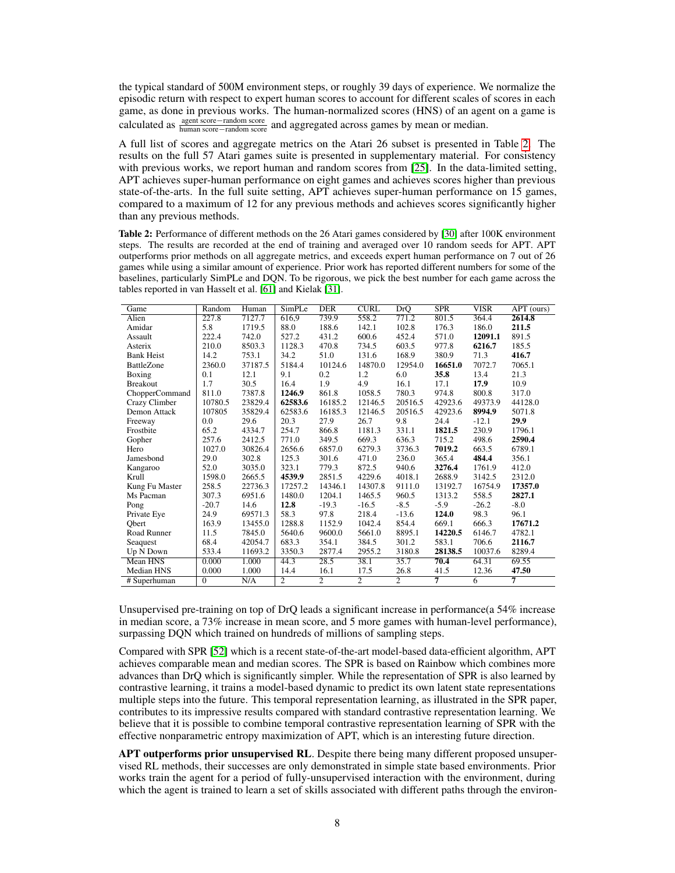the typical standard of 500M environment steps, or roughly 39 days of experience. We normalize the episodic return with respect to expert human scores to account for different scales of scores in each game, as done in previous works. The human-normalized scores (HNS) of an agent on a game is calculated as  $\frac{\text{agent score} - \text{random score}}{\text{human score} - \text{random score}}$  and aggregated across games by mean or median.

A full list of scores and aggregate metrics on the Atari 26 subset is presented in Table [2.](#page-7-0) The results on the full 57 Atari games suite is presented in supplementary material. For consistency with previous works, we report human and random scores from [\[25\]](#page-11-12). In the data-limited setting, APT achieves super-human performance on eight games and achieves scores higher than previous state-of-the-arts. In the full suite setting, APT achieves super-human performance on 15 games, compared to a maximum of 12 for any previous methods and achieves scores significantly higher than any previous methods.

<span id="page-7-0"></span>Table 2: Performance of different methods on the 26 Atari games considered by [\[30\]](#page-11-11) after 100K environment steps. The results are recorded at the end of training and averaged over 10 random seeds for APT. APT outperforms prior methods on all aggregate metrics, and exceeds expert human performance on 7 out of 26 games while using a similar amount of experience. Prior work has reported different numbers for some of the baselines, particularly SimPLe and DQN. To be rigorous, we pick the best number for each game across the tables reported in van Hasselt et al. [\[61\]](#page-13-12) and Kielak [\[31\]](#page-11-13).

| Game              | Random         | Human   | Simpler        | <b>DER</b>     | <b>CURL</b>    | <b>DrQ</b>     | SPR            | <b>VISR</b>    | $\overline{APT(ours)}$ |
|-------------------|----------------|---------|----------------|----------------|----------------|----------------|----------------|----------------|------------------------|
| Alien             | 227.8          | 7127.7  | 616.9          | 739.9          | 558.2          | 771.2          | 801.5          | 364.4          | 2614.8                 |
| Amidar            | 5.8            | 1719.5  | 88.0           | 188.6          | 142.1          | 102.8          | 176.3          | 186.0          | 211.5                  |
| Assault           | 222.4          | 742.0   | 527.2          | 431.2          | 600.6          | 452.4          | 571.0          | 12091.1        | 891.5                  |
| Asterix           | 210.0          | 8503.3  | 1128.3         | 470.8          | 734.5          | 603.5          | 977.8          | 6216.7         | 185.5                  |
| <b>Bank Heist</b> | 14.2           | 753.1   | 34.2           | 51.0           | 131.6          | 168.9          | 380.9          | 71.3           | 416.7                  |
| <b>BattleZone</b> | 2360.0         | 37187.5 | 5184.4         | 10124.6        | 14870.0        | 12954.0        | 16651.0        | 7072.7         | 7065.1                 |
| Boxing            | 0.1            | 12.1    | 9.1            | 0.2            | 1.2            | 6.0            | 35.8           | 13.4           | 21.3                   |
| <b>Breakout</b>   | 1.7            | 30.5    | 16.4           | 1.9            | 4.9            | 16.1           | 17.1           | 17.9           | 10.9                   |
| ChopperCommand    | 811.0          | 7387.8  | 1246.9         | 861.8          | 1058.5         | 780.3          | 974.8          | 800.8          | 317.0                  |
| Crazy Climber     | 10780.5        | 23829.4 | 62583.6        | 16185.2        | 12146.5        | 20516.5        | 42923.6        | 49373.9        | 44128.0                |
| Demon Attack      | 107805         | 35829.4 | 62583.6        | 16185.3        | 12146.5        | 20516.5        | 42923.6        | 8994.9         | 5071.8                 |
| Freeway           | 0.0            | 29.6    | 20.3           | 27.9           | 26.7           | 9.8            | 24.4           | $-12.1$        | 29.9                   |
| Frostbite         | 65.2           | 4334.7  | 254.7          | 866.8          | 1181.3         | 331.1          | 1821.5         | 230.9          | 1796.1                 |
| Gopher            | 257.6          | 2412.5  | 771.0          | 349.5          | 669.3          | 636.3          | 715.2          | 498.6          | 2590.4                 |
| Hero              | 1027.0         | 30826.4 | 2656.6         | 6857.0         | 6279.3         | 3736.3         | 7019.2         | 663.5          | 6789.1                 |
| Jamesbond         | 29.0           | 302.8   | 125.3          | 301.6          | 471.0          | 236.0          | 365.4          | 484.4          | 356.1                  |
| Kangaroo          | 52.0           | 3035.0  | 323.1          | 779.3          | 872.5          | 940.6          | 3276.4         | 1761.9         | 412.0                  |
| Krull             | 1598.0         | 2665.5  | 4539.9         | 2851.5         | 4229.6         | 4018.1         | 2688.9         | 3142.5         | 2312.0                 |
| Kung Fu Master    | 258.5          | 22736.3 | 17257.2        | 14346.1        | 14307.8        | 9111.0         | 13192.7        | 16754.9        | 17357.0                |
| Ms Pacman         | 307.3          | 6951.6  | 1480.0         | 1204.1         | 1465.5         | 960.5          | 1313.2         | 558.5          | 2827.1                 |
| Pong              | $-20.7$        | 14.6    | 12.8           | $-19.3$        | $-16.5$        | $-8.5$         | $-5.9$         | $-26.2$        | $-8.0$                 |
| Private Eye       | 24.9           | 69571.3 | 58.3           | 97.8           | 218.4          | $-13.6$        | 124.0          | 98.3           | 96.1                   |
| Obert             | 163.9          | 13455.0 | 1288.8         | 1152.9         | 1042.4         | 854.4          | 669.1          | 666.3          | 17671.2                |
| Road Runner       | 11.5           | 7845.0  | 5640.6         | 9600.0         | 5661.0         | 8895.1         | 14220.5        | 6146.7         | 4782.1                 |
| Seaguest          | 68.4           | 42054.7 | 683.3          | 354.1          | 384.5          | 301.2          | 583.1          | 706.6          | 2116.7                 |
| Up N Down         | 533.4          | 11693.2 | 3350.3         | 2877.4         | 2955.2         | 3180.8         | 28138.5        | 10037.6        | 8289.4                 |
| <b>Mean HNS</b>   | 0.000          | 1.000   | 44.3           | 28.5           | 38.1           | 35.7           | 70.4           | 64.31          | 69.55                  |
| Median HNS        | 0.000          | 1.000   | 14.4           | 16.1           | 17.5           | 26.8           | 41.5           | 12.36          | 47.50                  |
| # Superhuman      | $\overline{0}$ | N/A     | $\overline{2}$ | $\overline{2}$ | $\overline{2}$ | $\overline{2}$ | $\overline{7}$ | $\overline{6}$ | 7                      |

Unsupervised pre-training on top of DrQ leads a significant increase in performance(a 54% increase in median score, a 73% increase in mean score, and 5 more games with human-level performance), surpassing DQN which trained on hundreds of millions of sampling steps.

Compared with SPR [\[52\]](#page-13-6) which is a recent state-of-the-art model-based data-efficient algorithm, APT achieves comparable mean and median scores. The SPR is based on Rainbow which combines more advances than DrQ which is significantly simpler. While the representation of SPR is also learned by contrastive learning, it trains a model-based dynamic to predict its own latent state representations multiple steps into the future. This temporal representation learning, as illustrated in the SPR paper, contributes to its impressive results compared with standard contrastive representation learning. We believe that it is possible to combine temporal contrastive representation learning of SPR with the effective nonparametric entropy maximization of APT, which is an interesting future direction.

APT outperforms prior unsupervised RL. Despite there being many different proposed unsupervised RL methods, their successes are only demonstrated in simple state based environments. Prior works train the agent for a period of fully-unsupervised interaction with the environment, during which the agent is trained to learn a set of skills associated with different paths through the environ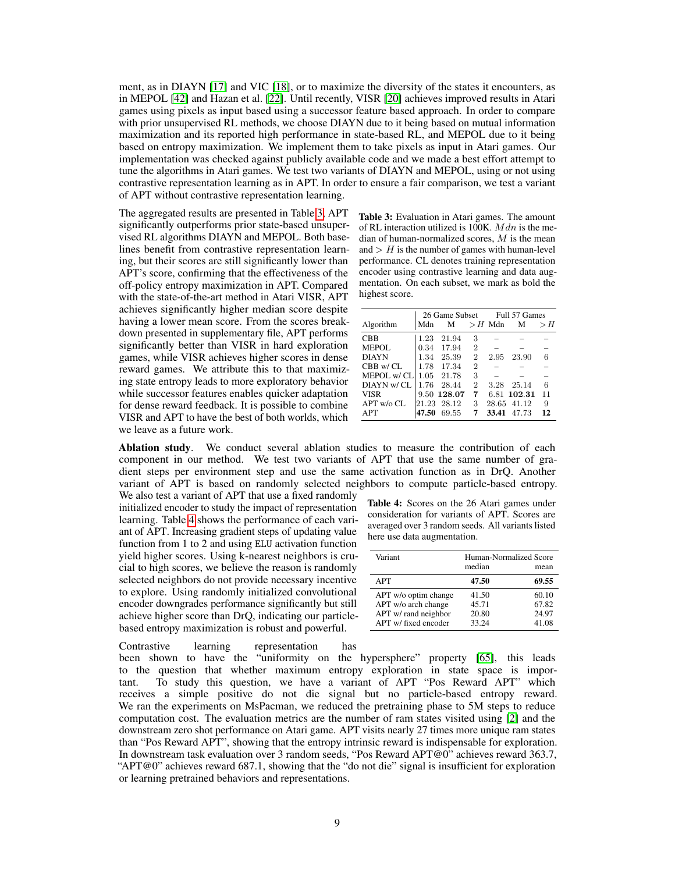ment, as in DIAYN [\[17\]](#page-11-4) and VIC [\[18\]](#page-11-5), or to maximize the diversity of the states it encounters, as in MEPOL [\[42\]](#page-12-7) and Hazan et al. [\[22\]](#page-11-8). Until recently, VISR [\[20\]](#page-11-3) achieves improved results in Atari games using pixels as input based using a successor feature based approach. In order to compare with prior unsupervised RL methods, we choose DIAYN due to it being based on mutual information maximization and its reported high performance in state-based RL, and MEPOL due to it being based on entropy maximization. We implement them to take pixels as input in Atari games. Our implementation was checked against publicly available code and we made a best effort attempt to tune the algorithms in Atari games. We test two variants of DIAYN and MEPOL, using or not using contrastive representation learning as in APT. In order to ensure a fair comparison, we test a variant of APT without contrastive representation learning.

The aggregated results are presented in Table [3,](#page-8-0) APT significantly outperforms prior state-based unsupervised RL algorithms DIAYN and MEPOL. Both baselines benefit from contrastive representation learning, but their scores are still significantly lower than APT's score, confirming that the effectiveness of the off-policy entropy maximization in APT. Compared with the state-of-the-art method in Atari VISR, APT achieves significantly higher median score despite having a lower mean score. From the scores breakdown presented in supplementary file, APT performs significantly better than VISR in hard exploration games, while VISR achieves higher scores in dense reward games. We attribute this to that maximizing state entropy leads to more exploratory behavior while successor features enables quicker adaptation for dense reward feedback. It is possible to combine VISR and APT to have the best of both worlds, which we leave as a future work.

<span id="page-8-0"></span>Table 3: Evaluation in Atari games. The amount of RL interaction utilized is 100K.  $Mdn$  is the median of human-normalized scores,  $M$  is the mean and  $>$  H is the number of games with human-level performance. CL denotes training representation encoder using contrastive learning and data augmentation. On each subset, we mark as bold the highest score.

|               | 26 Game Subset |             |                | Full 57 Games |             |       |  |
|---------------|----------------|-------------|----------------|---------------|-------------|-------|--|
| Algorithm     | Mdn            | M           |                | $>$ H Mdn     | M           | $>$ H |  |
| <b>CBB</b>    | 1.23           | 21.94       | 3              |               |             |       |  |
| MEPOL.        | 0.34           | 17.94       | $\overline{2}$ |               |             |       |  |
| DIAYN         | 1.34           | 25.39       | $\overline{2}$ | 2.95          | 23.90       |       |  |
| $CBB$ w/ $CL$ | 1.78           | 17.34       | $\overline{2}$ |               |             |       |  |
| MEPOL w/CL    | 1.05           | 21.78       | 3              |               |             |       |  |
| DIAYN w/CL    | 1.76           | 28.44       | 2              | 3.28          | 25.14       | 6     |  |
| <b>VISR</b>   |                | 9.50 128.07 | 7              |               | 6.81 102.31 | 11    |  |
| APT w/o CL    |                | 21.23 28.12 | 3              | 28.65         | 41.12       | 9     |  |
| <b>APT</b>    | 47.50          | 69.55       | 7              | 33.41         | 47.73       | 12    |  |

Ablation study. We conduct several ablation studies to measure the contribution of each component in our method. We test two variants of APT that use the same number of gradient steps per environment step and use the same activation function as in DrQ. Another variant of APT is based on randomly selected neighbors to compute particle-based entropy.

We also test a variant of APT that use a fixed randomly initialized encoder to study the impact of representation learning. Table [4](#page-8-1) shows the performance of each variant of APT. Increasing gradient steps of updating value function from 1 to 2 and using ELU activation function yield higher scores. Using k-nearest neighbors is crucial to high scores, we believe the reason is randomly selected neighbors do not provide necessary incentive to explore. Using randomly initialized convolutional encoder downgrades performance significantly but still achieve higher score than DrQ, indicating our particlebased entropy maximization is robust and powerful.

<span id="page-8-1"></span>Table 4: Scores on the 26 Atari games under consideration for variants of APT. Scores are averaged over 3 random seeds. All variants listed here use data augmentation.

| Variant                                                                                     | Human-Normalized Score<br>median | mean                             |
|---------------------------------------------------------------------------------------------|----------------------------------|----------------------------------|
| <b>APT</b>                                                                                  | 47.50                            | 69.55                            |
| APT w/o optim change<br>APT w/o arch change<br>APT w/ rand neighbor<br>APT w/ fixed encoder | 41.50<br>45.71<br>20.80<br>33.24 | 60.10<br>67.82<br>24.97<br>41.08 |

Contrastive learning representation has been shown to have the "uniformity on the hypersphere" property [\[65\]](#page-13-16), this leads to the question that whether maximum entropy exploration in state space is important. To study this question, we have a variant of APT "Pos Reward APT" which receives a simple positive do not die signal but no particle-based entropy reward. We ran the experiments on MsPacman, we reduced the pretraining phase to 5M steps to reduce computation cost. The evaluation metrics are the number of ram states visited using [\[2\]](#page-9-1) and the downstream zero shot performance on Atari game. APT visits nearly 27 times more unique ram states than "Pos Reward APT", showing that the entropy intrinsic reward is indispensable for exploration. In downstream task evaluation over 3 random seeds, "Pos Reward APT@0" achieves reward 363.7, "APT@0" achieves reward 687.1, showing that the "do not die" signal is insufficient for exploration or learning pretrained behaviors and representations.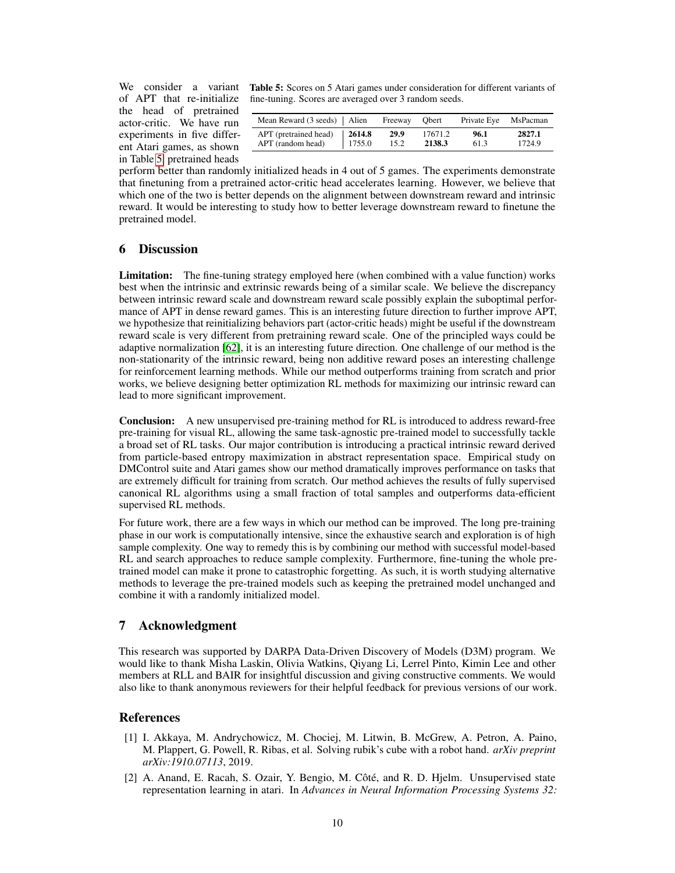of APT that re-initialize the head of pretrained actor-critic. We have run experiments in five different Atari games, as shown in Table [5,](#page-9-2) pretrained heads

We consider a variant Table 5: Scores on 5 Atari games under consideration for different variants of fine-tuning. Scores are averaged over 3 random seeds.

<span id="page-9-2"></span>

| APT (pretrained head)<br>2614.8<br>29.9<br>17671.2<br>APT (random head) | Mean Reward $(3 \text{ seeds})$   Alien<br>Freeway | Obert                 | Private Eye MsPacman |
|-------------------------------------------------------------------------|----------------------------------------------------|-----------------------|----------------------|
|                                                                         | 1755.0<br>15.2                                     | 96.1<br>2138.3<br>613 | 2827.1<br>1724.9     |

perform better than randomly initialized heads in 4 out of 5 games. The experiments demonstrate that finetuning from a pretrained actor-critic head accelerates learning. However, we believe that which one of the two is better depends on the alignment between downstream reward and intrinsic reward. It would be interesting to study how to better leverage downstream reward to finetune the pretrained model.

# 6 Discussion

Limitation: The fine-tuning strategy employed here (when combined with a value function) works best when the intrinsic and extrinsic rewards being of a similar scale. We believe the discrepancy between intrinsic reward scale and downstream reward scale possibly explain the suboptimal performance of APT in dense reward games. This is an interesting future direction to further improve APT, we hypothesize that reinitializing behaviors part (actor-critic heads) might be useful if the downstream reward scale is very different from pretraining reward scale. One of the principled ways could be adaptive normalization [\[62\]](#page-13-17), it is an interesting future direction. One challenge of our method is the non-stationarity of the intrinsic reward, being non additive reward poses an interesting challenge for reinforcement learning methods. While our method outperforms training from scratch and prior works, we believe designing better optimization RL methods for maximizing our intrinsic reward can lead to more significant improvement.

Conclusion: A new unsupervised pre-training method for RL is introduced to address reward-free pre-training for visual RL, allowing the same task-agnostic pre-trained model to successfully tackle a broad set of RL tasks. Our major contribution is introducing a practical intrinsic reward derived from particle-based entropy maximization in abstract representation space. Empirical study on DMControl suite and Atari games show our method dramatically improves performance on tasks that are extremely difficult for training from scratch. Our method achieves the results of fully supervised canonical RL algorithms using a small fraction of total samples and outperforms data-efficient supervised RL methods.

For future work, there are a few ways in which our method can be improved. The long pre-training phase in our work is computationally intensive, since the exhaustive search and exploration is of high sample complexity. One way to remedy this is by combining our method with successful model-based RL and search approaches to reduce sample complexity. Furthermore, fine-tuning the whole pretrained model can make it prone to catastrophic forgetting. As such, it is worth studying alternative methods to leverage the pre-trained models such as keeping the pretrained model unchanged and combine it with a randomly initialized model.

## 7 Acknowledgment

This research was supported by DARPA Data-Driven Discovery of Models (D3M) program. We would like to thank Misha Laskin, Olivia Watkins, Qiyang Li, Lerrel Pinto, Kimin Lee and other members at RLL and BAIR for insightful discussion and giving constructive comments. We would also like to thank anonymous reviewers for their helpful feedback for previous versions of our work.

## References

- <span id="page-9-0"></span>[1] I. Akkaya, M. Andrychowicz, M. Chociej, M. Litwin, B. McGrew, A. Petron, A. Paino, M. Plappert, G. Powell, R. Ribas, et al. Solving rubik's cube with a robot hand. *arXiv preprint arXiv:1910.07113*, 2019.
- <span id="page-9-1"></span>[2] A. Anand, E. Racah, S. Ozair, Y. Bengio, M. Côté, and R. D. Hjelm. Unsupervised state representation learning in atari. In *Advances in Neural Information Processing Systems 32:*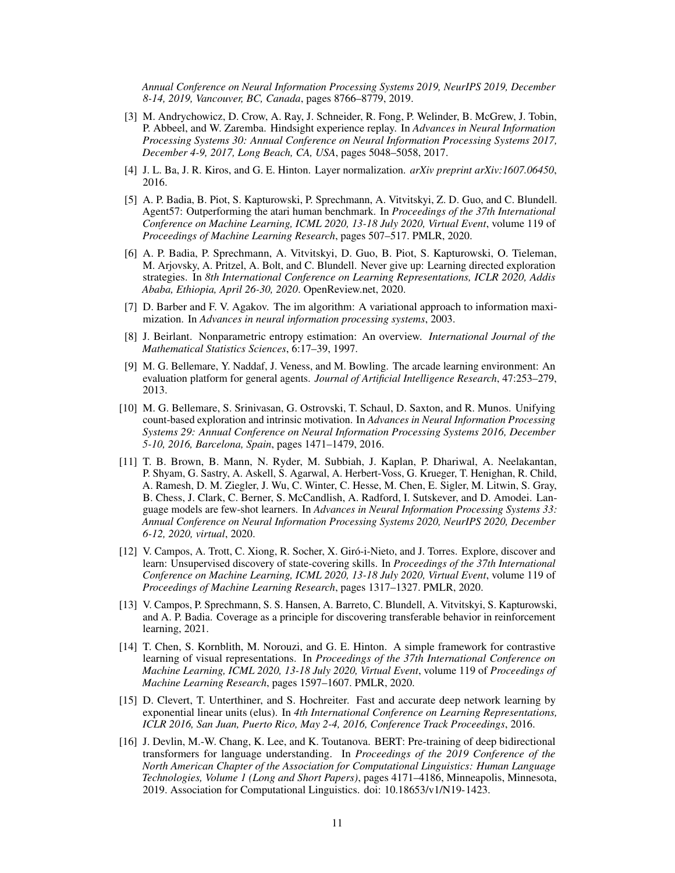*Annual Conference on Neural Information Processing Systems 2019, NeurIPS 2019, December 8-14, 2019, Vancouver, BC, Canada*, pages 8766–8779, 2019.

- <span id="page-10-1"></span>[3] M. Andrychowicz, D. Crow, A. Ray, J. Schneider, R. Fong, P. Welinder, B. McGrew, J. Tobin, P. Abbeel, and W. Zaremba. Hindsight experience replay. In *Advances in Neural Information Processing Systems 30: Annual Conference on Neural Information Processing Systems 2017, December 4-9, 2017, Long Beach, CA, USA*, pages 5048–5058, 2017.
- [4] J. L. Ba, J. R. Kiros, and G. E. Hinton. Layer normalization. *arXiv preprint arXiv:1607.06450*, 2016.
- <span id="page-10-0"></span>[5] A. P. Badia, B. Piot, S. Kapturowski, P. Sprechmann, A. Vitvitskyi, Z. D. Guo, and C. Blundell. Agent57: Outperforming the atari human benchmark. In *Proceedings of the 37th International Conference on Machine Learning, ICML 2020, 13-18 July 2020, Virtual Event*, volume 119 of *Proceedings of Machine Learning Research*, pages 507–517. PMLR, 2020.
- <span id="page-10-10"></span>[6] A. P. Badia, P. Sprechmann, A. Vitvitskyi, D. Guo, B. Piot, S. Kapturowski, O. Tieleman, M. Arjovsky, A. Pritzel, A. Bolt, and C. Blundell. Never give up: Learning directed exploration strategies. In *8th International Conference on Learning Representations, ICLR 2020, Addis Ababa, Ethiopia, April 26-30, 2020*. OpenReview.net, 2020.
- <span id="page-10-7"></span>[7] D. Barber and F. V. Agakov. The im algorithm: A variational approach to information maximization. In *Advances in neural information processing systems*, 2003.
- <span id="page-10-6"></span>[8] J. Beirlant. Nonparametric entropy estimation: An overview. *International Journal of the Mathematical Statistics Sciences*, 6:17–39, 1997.
- <span id="page-10-12"></span>[9] M. G. Bellemare, Y. Naddaf, J. Veness, and M. Bowling. The arcade learning environment: An evaluation platform for general agents. *Journal of Artificial Intelligence Research*, 47:253–279, 2013.
- <span id="page-10-5"></span>[10] M. G. Bellemare, S. Srinivasan, G. Ostrovski, T. Schaul, D. Saxton, and R. Munos. Unifying count-based exploration and intrinsic motivation. In *Advances in Neural Information Processing Systems 29: Annual Conference on Neural Information Processing Systems 2016, December 5-10, 2016, Barcelona, Spain*, pages 1471–1479, 2016.
- <span id="page-10-4"></span>[11] T. B. Brown, B. Mann, N. Ryder, M. Subbiah, J. Kaplan, P. Dhariwal, A. Neelakantan, P. Shyam, G. Sastry, A. Askell, S. Agarwal, A. Herbert-Voss, G. Krueger, T. Henighan, R. Child, A. Ramesh, D. M. Ziegler, J. Wu, C. Winter, C. Hesse, M. Chen, E. Sigler, M. Litwin, S. Gray, B. Chess, J. Clark, C. Berner, S. McCandlish, A. Radford, I. Sutskever, and D. Amodei. Language models are few-shot learners. In *Advances in Neural Information Processing Systems 33: Annual Conference on Neural Information Processing Systems 2020, NeurIPS 2020, December 6-12, 2020, virtual*, 2020.
- <span id="page-10-8"></span>[12] V. Campos, A. Trott, C. Xiong, R. Socher, X. Giró-i-Nieto, and J. Torres. Explore, discover and learn: Unsupervised discovery of state-covering skills. In *Proceedings of the 37th International Conference on Machine Learning, ICML 2020, 13-18 July 2020, Virtual Event*, volume 119 of *Proceedings of Machine Learning Research*, pages 1317–1327. PMLR, 2020.
- <span id="page-10-11"></span>[13] V. Campos, P. Sprechmann, S. S. Hansen, A. Barreto, C. Blundell, A. Vitvitskyi, S. Kapturowski, and A. P. Badia. Coverage as a principle for discovering transferable behavior in reinforcement learning, 2021.
- <span id="page-10-2"></span>[14] T. Chen, S. Kornblith, M. Norouzi, and G. E. Hinton. A simple framework for contrastive learning of visual representations. In *Proceedings of the 37th International Conference on Machine Learning, ICML 2020, 13-18 July 2020, Virtual Event*, volume 119 of *Proceedings of Machine Learning Research*, pages 1597–1607. PMLR, 2020.
- <span id="page-10-9"></span>[15] D. Clevert, T. Unterthiner, and S. Hochreiter. Fast and accurate deep network learning by exponential linear units (elus). In *4th International Conference on Learning Representations, ICLR 2016, San Juan, Puerto Rico, May 2-4, 2016, Conference Track Proceedings*, 2016.
- <span id="page-10-3"></span>[16] J. Devlin, M.-W. Chang, K. Lee, and K. Toutanova. BERT: Pre-training of deep bidirectional transformers for language understanding. In *Proceedings of the 2019 Conference of the North American Chapter of the Association for Computational Linguistics: Human Language Technologies, Volume 1 (Long and Short Papers)*, pages 4171–4186, Minneapolis, Minnesota, 2019. Association for Computational Linguistics. doi: 10.18653/v1/N19-1423.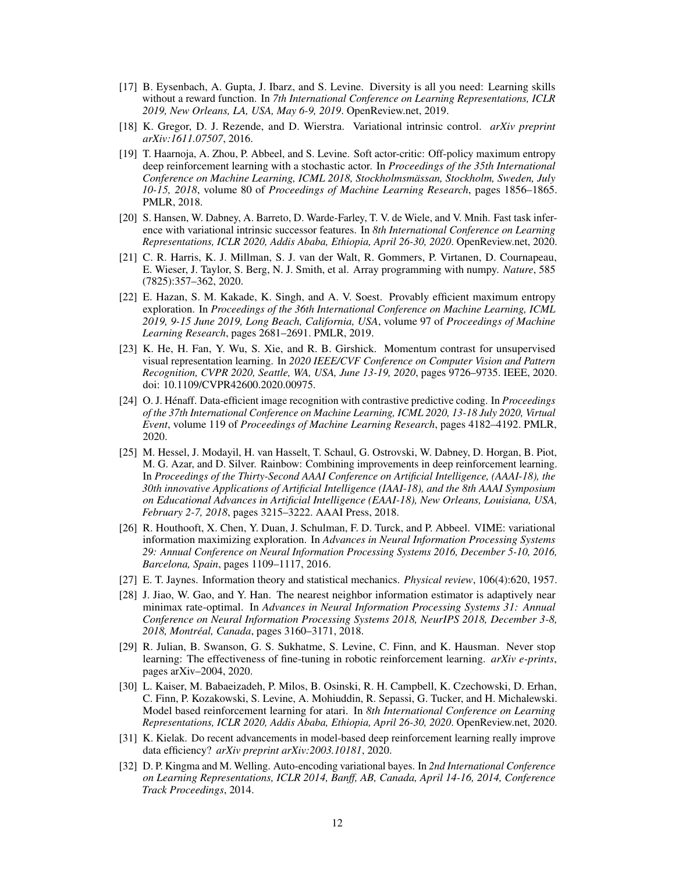- <span id="page-11-4"></span>[17] B. Eysenbach, A. Gupta, J. Ibarz, and S. Levine. Diversity is all you need: Learning skills without a reward function. In *7th International Conference on Learning Representations, ICLR 2019, New Orleans, LA, USA, May 6-9, 2019*. OpenReview.net, 2019.
- <span id="page-11-5"></span>[18] K. Gregor, D. J. Rezende, and D. Wierstra. Variational intrinsic control. *arXiv preprint arXiv:1611.07507*, 2016.
- <span id="page-11-9"></span>[19] T. Haarnoja, A. Zhou, P. Abbeel, and S. Levine. Soft actor-critic: Off-policy maximum entropy deep reinforcement learning with a stochastic actor. In *Proceedings of the 35th International Conference on Machine Learning, ICML 2018, Stockholmsmässan, Stockholm, Sweden, July 10-15, 2018*, volume 80 of *Proceedings of Machine Learning Research*, pages 1856–1865. PMLR, 2018.
- <span id="page-11-3"></span>[20] S. Hansen, W. Dabney, A. Barreto, D. Warde-Farley, T. V. de Wiele, and V. Mnih. Fast task inference with variational intrinsic successor features. In *8th International Conference on Learning Representations, ICLR 2020, Addis Ababa, Ethiopia, April 26-30, 2020*. OpenReview.net, 2020.
- <span id="page-11-15"></span>[21] C. R. Harris, K. J. Millman, S. J. van der Walt, R. Gommers, P. Virtanen, D. Cournapeau, E. Wieser, J. Taylor, S. Berg, N. J. Smith, et al. Array programming with numpy. *Nature*, 585 (7825):357–362, 2020.
- <span id="page-11-8"></span>[22] E. Hazan, S. M. Kakade, K. Singh, and A. V. Soest. Provably efficient maximum entropy exploration. In *Proceedings of the 36th International Conference on Machine Learning, ICML 2019, 9-15 June 2019, Long Beach, California, USA*, volume 97 of *Proceedings of Machine Learning Research*, pages 2681–2691. PMLR, 2019.
- <span id="page-11-0"></span>[23] K. He, H. Fan, Y. Wu, S. Xie, and R. B. Girshick. Momentum contrast for unsupervised visual representation learning. In *2020 IEEE/CVF Conference on Computer Vision and Pattern Recognition, CVPR 2020, Seattle, WA, USA, June 13-19, 2020*, pages 9726–9735. IEEE, 2020. doi: 10.1109/CVPR42600.2020.00975.
- <span id="page-11-14"></span>[24] O. J. Hénaff. Data-efficient image recognition with contrastive predictive coding. In *Proceedings of the 37th International Conference on Machine Learning, ICML 2020, 13-18 July 2020, Virtual Event*, volume 119 of *Proceedings of Machine Learning Research*, pages 4182–4192. PMLR, 2020.
- <span id="page-11-12"></span>[25] M. Hessel, J. Modayil, H. van Hasselt, T. Schaul, G. Ostrovski, W. Dabney, D. Horgan, B. Piot, M. G. Azar, and D. Silver. Rainbow: Combining improvements in deep reinforcement learning. In *Proceedings of the Thirty-Second AAAI Conference on Artificial Intelligence, (AAAI-18), the 30th innovative Applications of Artificial Intelligence (IAAI-18), and the 8th AAAI Symposium on Educational Advances in Artificial Intelligence (EAAI-18), New Orleans, Louisiana, USA, February 2-7, 2018*, pages 3215–3222. AAAI Press, 2018.
- <span id="page-11-6"></span>[26] R. Houthooft, X. Chen, Y. Duan, J. Schulman, F. D. Turck, and P. Abbeel. VIME: variational information maximizing exploration. In *Advances in Neural Information Processing Systems 29: Annual Conference on Neural Information Processing Systems 2016, December 5-10, 2016, Barcelona, Spain*, pages 1109–1117, 2016.
- <span id="page-11-2"></span>[27] E. T. Jaynes. Information theory and statistical mechanics. *Physical review*, 106(4):620, 1957.
- <span id="page-11-7"></span>[28] J. Jiao, W. Gao, and Y. Han. The nearest neighbor information estimator is adaptively near minimax rate-optimal. In *Advances in Neural Information Processing Systems 31: Annual Conference on Neural Information Processing Systems 2018, NeurIPS 2018, December 3-8, 2018, Montréal, Canada*, pages 3160–3171, 2018.
- <span id="page-11-1"></span>[29] R. Julian, B. Swanson, G. S. Sukhatme, S. Levine, C. Finn, and K. Hausman. Never stop learning: The effectiveness of fine-tuning in robotic reinforcement learning. *arXiv e-prints*, pages arXiv–2004, 2020.
- <span id="page-11-11"></span>[30] L. Kaiser, M. Babaeizadeh, P. Milos, B. Osinski, R. H. Campbell, K. Czechowski, D. Erhan, C. Finn, P. Kozakowski, S. Levine, A. Mohiuddin, R. Sepassi, G. Tucker, and H. Michalewski. Model based reinforcement learning for atari. In *8th International Conference on Learning Representations, ICLR 2020, Addis Ababa, Ethiopia, April 26-30, 2020*. OpenReview.net, 2020.
- <span id="page-11-13"></span>[31] K. Kielak. Do recent advancements in model-based deep reinforcement learning really improve data efficiency? *arXiv preprint arXiv:2003.10181*, 2020.
- <span id="page-11-10"></span>[32] D. P. Kingma and M. Welling. Auto-encoding variational bayes. In *2nd International Conference on Learning Representations, ICLR 2014, Banff, AB, Canada, April 14-16, 2014, Conference Track Proceedings*, 2014.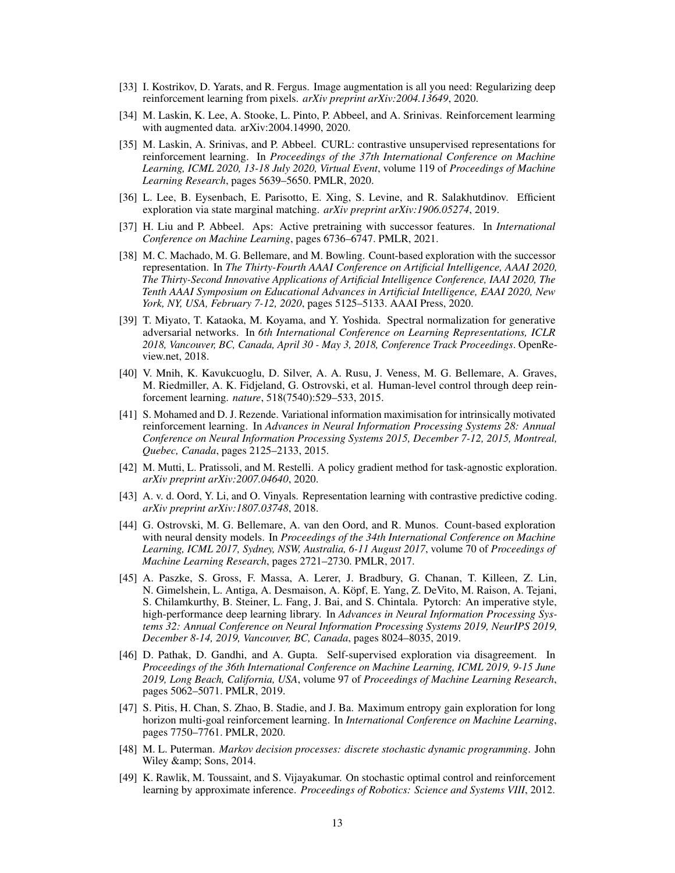- <span id="page-12-2"></span>[33] I. Kostrikov, D. Yarats, and R. Fergus. Image augmentation is all you need: Regularizing deep reinforcement learning from pixels. *arXiv preprint arXiv:2004.13649*, 2020.
- <span id="page-12-11"></span>[34] M. Laskin, K. Lee, A. Stooke, L. Pinto, P. Abbeel, and A. Srinivas. Reinforcement learming with augmented data. arXiv:2004.14990, 2020.
- <span id="page-12-5"></span>[35] M. Laskin, A. Srinivas, and P. Abbeel. CURL: contrastive unsupervised representations for reinforcement learning. In *Proceedings of the 37th International Conference on Machine Learning, ICML 2020, 13-18 July 2020, Virtual Event*, volume 119 of *Proceedings of Machine Learning Research*, pages 5639–5650. PMLR, 2020.
- <span id="page-12-9"></span>[36] L. Lee, B. Eysenbach, E. Parisotto, E. Xing, S. Levine, and R. Salakhutdinov. Efficient exploration via state marginal matching. *arXiv preprint arXiv:1906.05274*, 2019.
- <span id="page-12-12"></span>[37] H. Liu and P. Abbeel. Aps: Active pretraining with successor features. In *International Conference on Machine Learning*, pages 6736–6747. PMLR, 2021.
- <span id="page-12-15"></span>[38] M. C. Machado, M. G. Bellemare, and M. Bowling. Count-based exploration with the successor representation. In *The Thirty-Fourth AAAI Conference on Artificial Intelligence, AAAI 2020, The Thirty-Second Innovative Applications of Artificial Intelligence Conference, IAAI 2020, The Tenth AAAI Symposium on Educational Advances in Artificial Intelligence, EAAI 2020, New York, NY, USA, February 7-12, 2020*, pages 5125–5133. AAAI Press, 2020.
- <span id="page-12-6"></span>[39] T. Miyato, T. Kataoka, M. Koyama, and Y. Yoshida. Spectral normalization for generative adversarial networks. In *6th International Conference on Learning Representations, ICLR 2018, Vancouver, BC, Canada, April 30 - May 3, 2018, Conference Track Proceedings*. OpenReview.net, 2018.
- <span id="page-12-0"></span>[40] V. Mnih, K. Kavukcuoglu, D. Silver, A. A. Rusu, J. Veness, M. G. Bellemare, A. Graves, M. Riedmiller, A. K. Fidjeland, G. Ostrovski, et al. Human-level control through deep reinforcement learning. *nature*, 518(7540):529–533, 2015.
- <span id="page-12-4"></span>[41] S. Mohamed and D. J. Rezende. Variational information maximisation for intrinsically motivated reinforcement learning. In *Advances in Neural Information Processing Systems 28: Annual Conference on Neural Information Processing Systems 2015, December 7-12, 2015, Montreal, Quebec, Canada*, pages 2125–2133, 2015.
- <span id="page-12-7"></span>[42] M. Mutti, L. Pratissoli, and M. Restelli. A policy gradient method for task-agnostic exploration. *arXiv preprint arXiv:2007.04640*, 2020.
- <span id="page-12-1"></span>[43] A. v. d. Oord, Y. Li, and O. Vinyals. Representation learning with contrastive predictive coding. *arXiv preprint arXiv:1807.03748*, 2018.
- <span id="page-12-16"></span>[44] G. Ostrovski, M. G. Bellemare, A. van den Oord, and R. Munos. Count-based exploration with neural density models. In *Proceedings of the 34th International Conference on Machine Learning, ICML 2017, Sydney, NSW, Australia, 6-11 August 2017*, volume 70 of *Proceedings of Machine Learning Research*, pages 2721–2730. PMLR, 2017.
- <span id="page-12-14"></span>[45] A. Paszke, S. Gross, F. Massa, A. Lerer, J. Bradbury, G. Chanan, T. Killeen, Z. Lin, N. Gimelshein, L. Antiga, A. Desmaison, A. Köpf, E. Yang, Z. DeVito, M. Raison, A. Tejani, S. Chilamkurthy, B. Steiner, L. Fang, J. Bai, and S. Chintala. Pytorch: An imperative style, high-performance deep learning library. In *Advances in Neural Information Processing Systems 32: Annual Conference on Neural Information Processing Systems 2019, NeurIPS 2019, December 8-14, 2019, Vancouver, BC, Canada*, pages 8024–8035, 2019.
- <span id="page-12-13"></span>[46] D. Pathak, D. Gandhi, and A. Gupta. Self-supervised exploration via disagreement. In *Proceedings of the 36th International Conference on Machine Learning, ICML 2019, 9-15 June 2019, Long Beach, California, USA*, volume 97 of *Proceedings of Machine Learning Research*, pages 5062–5071. PMLR, 2019.
- <span id="page-12-10"></span>[47] S. Pitis, H. Chan, S. Zhao, B. Stadie, and J. Ba. Maximum entropy gain exploration for long horizon multi-goal reinforcement learning. In *International Conference on Machine Learning*, pages 7750–7761. PMLR, 2020.
- <span id="page-12-3"></span>[48] M. L. Puterman. *Markov decision processes: discrete stochastic dynamic programming*. John Wiley & amp; Sons, 2014.
- <span id="page-12-8"></span>[49] K. Rawlik, M. Toussaint, and S. Vijayakumar. On stochastic optimal control and reinforcement learning by approximate inference. *Proceedings of Robotics: Science and Systems VIII*, 2012.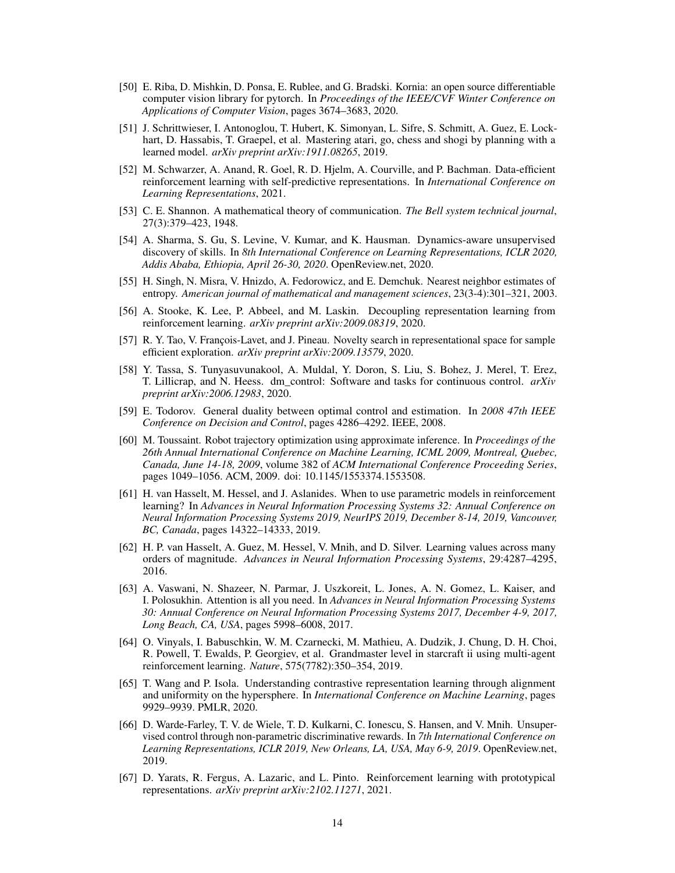- <span id="page-13-15"></span>[50] E. Riba, D. Mishkin, D. Ponsa, E. Rublee, and G. Bradski. Kornia: an open source differentiable computer vision library for pytorch. In *Proceedings of the IEEE/CVF Winter Conference on Applications of Computer Vision*, pages 3674–3683, 2020.
- <span id="page-13-0"></span>[51] J. Schrittwieser, I. Antonoglou, T. Hubert, K. Simonyan, L. Sifre, S. Schmitt, A. Guez, E. Lockhart, D. Hassabis, T. Graepel, et al. Mastering atari, go, chess and shogi by planning with a learned model. *arXiv preprint arXiv:1911.08265*, 2019.
- <span id="page-13-6"></span>[52] M. Schwarzer, A. Anand, R. Goel, R. D. Hjelm, A. Courville, and P. Bachman. Data-efficient reinforcement learning with self-predictive representations. In *International Conference on Learning Representations*, 2021.
- <span id="page-13-3"></span>[53] C. E. Shannon. A mathematical theory of communication. *The Bell system technical journal*, 27(3):379–423, 1948.
- <span id="page-13-7"></span>[54] A. Sharma, S. Gu, S. Levine, V. Kumar, and K. Hausman. Dynamics-aware unsupervised discovery of skills. In *8th International Conference on Learning Representations, ICLR 2020, Addis Ababa, Ethiopia, April 26-30, 2020*. OpenReview.net, 2020.
- <span id="page-13-4"></span>[55] H. Singh, N. Misra, V. Hnizdo, A. Fedorowicz, and E. Demchuk. Nearest neighbor estimates of entropy. *American journal of mathematical and management sciences*, 23(3-4):301–321, 2003.
- <span id="page-13-5"></span>[56] A. Stooke, K. Lee, P. Abbeel, and M. Laskin. Decoupling representation learning from reinforcement learning. *arXiv preprint arXiv:2009.08319*, 2020.
- <span id="page-13-11"></span>[57] R. Y. Tao, V. François-Lavet, and J. Pineau. Novelty search in representational space for sample efficient exploration. *arXiv preprint arXiv:2009.13579*, 2020.
- <span id="page-13-14"></span>[58] Y. Tassa, S. Tunyasuvunakool, A. Muldal, Y. Doron, S. Liu, S. Bohez, J. Merel, T. Erez, T. Lillicrap, and N. Heess. dm\_control: Software and tasks for continuous control. *arXiv preprint arXiv:2006.12983*, 2020.
- <span id="page-13-8"></span>[59] E. Todorov. General duality between optimal control and estimation. In *2008 47th IEEE Conference on Decision and Control*, pages 4286–4292. IEEE, 2008.
- <span id="page-13-9"></span>[60] M. Toussaint. Robot trajectory optimization using approximate inference. In *Proceedings of the 26th Annual International Conference on Machine Learning, ICML 2009, Montreal, Quebec, Canada, June 14-18, 2009*, volume 382 of *ACM International Conference Proceeding Series*, pages 1049–1056. ACM, 2009. doi: 10.1145/1553374.1553508.
- <span id="page-13-12"></span>[61] H. van Hasselt, M. Hessel, and J. Aslanides. When to use parametric models in reinforcement learning? In *Advances in Neural Information Processing Systems 32: Annual Conference on Neural Information Processing Systems 2019, NeurIPS 2019, December 8-14, 2019, Vancouver, BC, Canada*, pages 14322–14333, 2019.
- <span id="page-13-17"></span>[62] H. P. van Hasselt, A. Guez, M. Hessel, V. Mnih, and D. Silver. Learning values across many orders of magnitude. *Advances in Neural Information Processing Systems*, 29:4287–4295, 2016.
- <span id="page-13-2"></span>[63] A. Vaswani, N. Shazeer, N. Parmar, J. Uszkoreit, L. Jones, A. N. Gomez, L. Kaiser, and I. Polosukhin. Attention is all you need. In *Advances in Neural Information Processing Systems 30: Annual Conference on Neural Information Processing Systems 2017, December 4-9, 2017, Long Beach, CA, USA*, pages 5998–6008, 2017.
- <span id="page-13-1"></span>[64] O. Vinyals, I. Babuschkin, W. M. Czarnecki, M. Mathieu, A. Dudzik, J. Chung, D. H. Choi, R. Powell, T. Ewalds, P. Georgiev, et al. Grandmaster level in starcraft ii using multi-agent reinforcement learning. *Nature*, 575(7782):350–354, 2019.
- <span id="page-13-16"></span>[65] T. Wang and P. Isola. Understanding contrastive representation learning through alignment and uniformity on the hypersphere. In *International Conference on Machine Learning*, pages 9929–9939. PMLR, 2020.
- <span id="page-13-10"></span>[66] D. Warde-Farley, T. V. de Wiele, T. D. Kulkarni, C. Ionescu, S. Hansen, and V. Mnih. Unsupervised control through non-parametric discriminative rewards. In *7th International Conference on Learning Representations, ICLR 2019, New Orleans, LA, USA, May 6-9, 2019*. OpenReview.net, 2019.
- <span id="page-13-13"></span>[67] D. Yarats, R. Fergus, A. Lazaric, and L. Pinto. Reinforcement learning with prototypical representations. *arXiv preprint arXiv:2102.11271*, 2021.